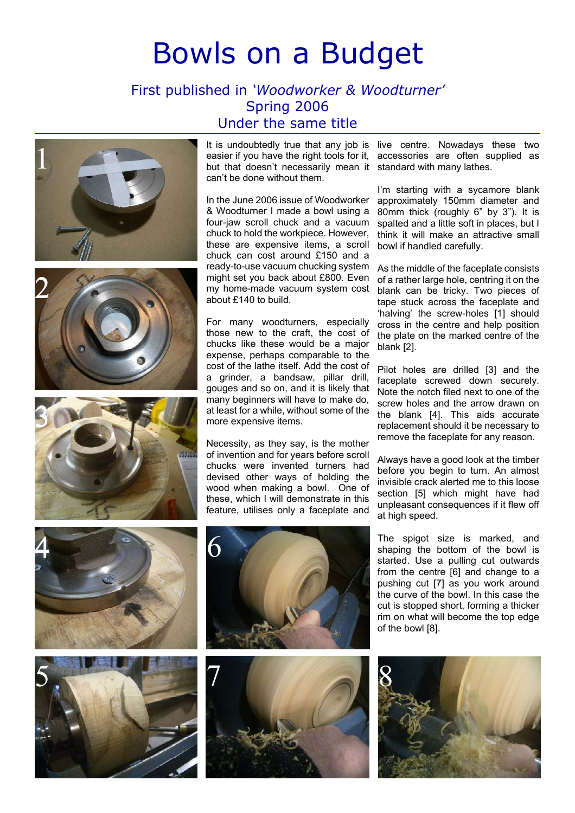## Bowls on a Budget

## First published in 'Woodworker & Woodturner' Spring 2006 Under the same title







easier if you have the right tools for it, accessories are often supplied as but that doesn't necessarily mean it standard with many lathes. can't be done without them.

In the June 2006 issue of Woodworker & Woodturner I made a bowl using a four-jaw scroll chuck and a vacuum chuck to hold the workpiece. However, these are expensive items, a scroll chuck can cost around £150 and a ready-to-use vacuum chucking system might set you back about £800. Even my home-made vacuum system cost about £140 to build.

For many woodturners, especially those new to the craft, the cost of chucks like these would be a major expense, perhaps comparable to the cost of the lathe itself. Add the cost of a grinder, a bandsaw, pillar drill, gouges and so on, and it is likely that many beginners will have to make do, at least for a while, without some of the more expensive items.

Necessity, as they say, is the mother of invention and for years before scroll chucks were invented turners had devised other ways of holding the wood when making a bowl. One of these, which I will demonstrate in this feature, utilises only a faceplate and

It is undoubtedly true that any job is live centre. Nowadays these two

I'm starting with a sycamore blank approximately 150mm diameter and 80mm thick (roughly 6" by 3"). It is spalted and a little soft in places, but I think it will make an attractive small bowl if handled carefully.

As the middle of the faceplate consists of a rather large hole, centring it on the blank can be tricky. Two pieces of tape stuck across the faceplate and 'halving' the screw-holes [1] should cross in the centre and help position the plate on the marked centre of the blank [2].

Pilot holes are drilled [3] and the faceplate screwed down securely. Note the notch filed next to one of the screw holes and the arrow drawn on the blank [4]. This aids accurate replacement should it be necessary to remove the faceplate for any reason.

Always have a good look at the timber before you begin to turn. An almost invisible crack alerted me to this loose section [5] which might have had unpleasant consequences if it flew off at high speed.









The spigot size is marked, and shaping the bottom of the bowl is started. Use a pulling cut outwards from the centre [6] and change to a pushing cut [7] as you work around the curve of the bowl. In this case the cut is stopped short, forming a thicker rim on what will become the top edge of the bowl [8].

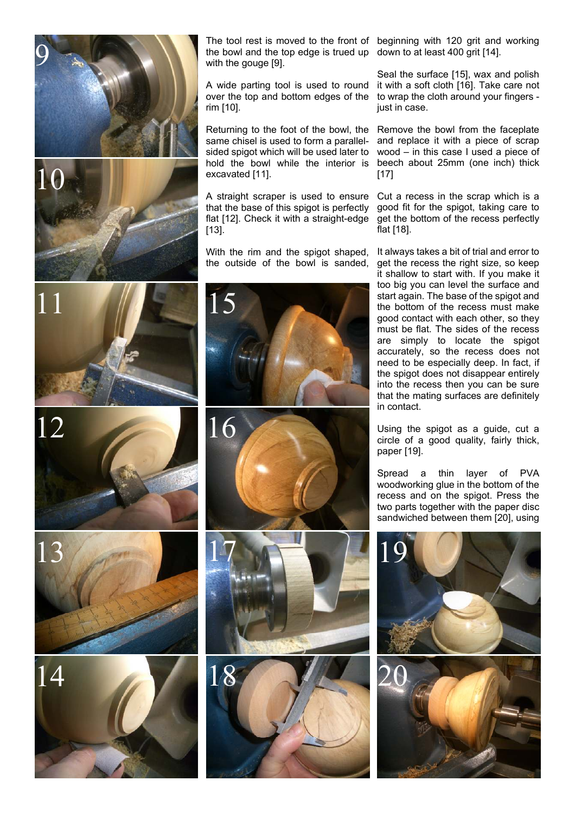

 $\overline{1}$ 11







the bowl and the top edge is trued up down to at least 400 grit [14]. with the gouge [9].

A wide parting tool is used to round over the top and bottom edges of the rim [10].

Returning to the foot of the bowl, the same chisel is used to form a parallelsided spigot which will be used later to hold the bowl while the interior is excavated [11].

A straight scraper is used to ensure that the base of this spigot is perfectly flat [12]. Check it with a straight-edge [13].

With the rim and the spigot shaped, the outside of the bowl is sanded,





The tool rest is moved to the front of beginning with 120 grit and working

Seal the surface [15], wax and polish it with a soft cloth [16]. Take care not to wrap the cloth around your fingers just in case.

Remove the bowl from the faceplate and replace it with a piece of scrap wood – in this case I used a piece of beech about 25mm (one inch) thick [17]

Cut a recess in the scrap which is a good fit for the spigot, taking care to get the bottom of the recess perfectly flat [18].

It always takes a bit of trial and error to get the recess the right size, so keep it shallow to start with. If you make it too big you can level the surface and start again. The base of the spigot and the bottom of the recess must make good contact with each other, so they must be flat. The sides of the recess are simply to locate the spigot accurately, so the recess does not need to be especially deep. In fact, if the spigot does not disappear entirely into the recess then you can be sure that the mating surfaces are definitely in contact.

Using the spigot as a guide, cut a circle of a good quality, fairly thick, paper [19].

Spread a thin layer of PVA woodworking glue in the bottom of the recess and on the spigot. Press the two parts together with the paper disc sandwiched between them [20], using



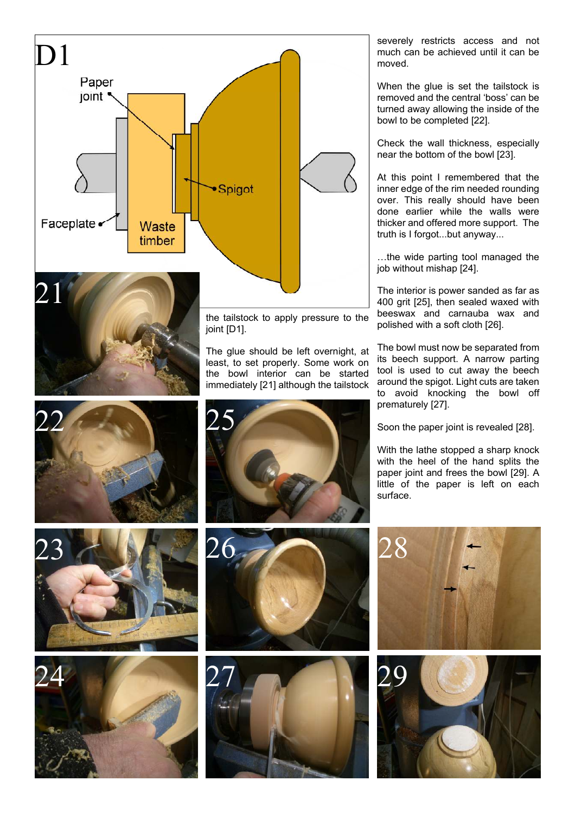

severely restricts access and not much can be achieved until it can be moved.

When the glue is set the tailstock is removed and the central 'boss' can be turned away allowing the inside of the bowl to be completed [22].

Check the wall thickness, especially near the bottom of the bowl [23].

At this point I remembered that the inner edge of the rim needed rounding over. This really should have been done earlier while the walls were thicker and offered more support. The truth is I forgot...but anyway...

…the wide parting tool managed the job without mishap [24].

The interior is power sanded as far as 400 grit [25], then sealed waxed with beeswax and carnauba wax and polished with a soft cloth [26].

The bowl must now be separated from its beech support. A narrow parting tool is used to cut away the beech around the spigot. Light cuts are taken to avoid knocking the bowl off prematurely [27].

Soon the paper joint is revealed [28].

With the lathe stopped a sharp knock with the heel of the hand splits the paper joint and frees the bowl [29]. A little of the paper is left on each surface.